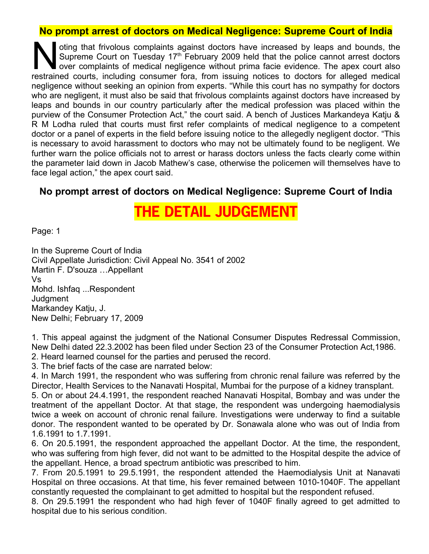## **No prompt arrest of doctors on Medical Negligence: Supreme Court of India**

oting that frivolous complaints against doctors have increased by leaps and bounds, the Supreme Court on Tuesday  $17<sup>th</sup>$  February 2009 held that the police cannot arrest doctors over complaints of medical negligence without prima facie evidence. The apex court also oting that frivolous complaints against doctors have increased by leaps and bounds, the Supreme Court on Tuesday 17<sup>th</sup> February 2009 held that the police cannot arrest doctors over complaints of medical negligence without negligence without seeking an opinion from experts. "While this court has no sympathy for doctors who are negligent, it must also be said that frivolous complaints against doctors have increased by leaps and bounds in our country particularly after the medical profession was placed within the purview of the Consumer Protection Act," the court said. A bench of Justices Markandeya Katju & R M Lodha ruled that courts must first refer complaints of medical negligence to a competent doctor or a panel of experts in the field before issuing notice to the allegedly negligent doctor. "This is necessary to avoid harassment to doctors who may not be ultimately found to be negligent. We further warn the police officials not to arrest or harass doctors unless the facts clearly come within the parameter laid down in Jacob Mathew's case, otherwise the policemen will themselves have to face legal action," the apex court said.

## **No prompt arrest of doctors on Medical Negligence: Supreme Court of India**

# **THE DETAIL JUDGEME**

Page: 1

In the Supreme Court of India Civil Appellate Jurisdiction: Civil Appeal No. 3541 of 2002 Martin F. D'souza …Appellant Vs Mohd. Ishfaq ...Respondent **Judgment** Markandey Katju, J. New Delhi; February 17, 2009

1. This appeal against the judgment of the National Consumer Disputes Redressal Commission, New Delhi dated 22.3.2002 has been filed under Section 23 of the Consumer Protection Act,1986. 2. Heard learned counsel for the parties and perused the record.

3. The brief facts of the case are narrated below:

4. In March 1991, the respondent who was suffering from chronic renal failure was referred by the Director, Health Services to the Nanavati Hospital, Mumbai for the purpose of a kidney transplant.

5. On or about 24.4.1991, the respondent reached Nanavati Hospital, Bombay and was under the treatment of the appellant Doctor. At that stage, the respondent was undergoing haemodialysis twice a week on account of chronic renal failure. Investigations were underway to find a suitable donor. The respondent wanted to be operated by Dr. Sonawala alone who was out of India from 1.6.1991 to 1.7.1991.

6. On 20.5.1991, the respondent approached the appellant Doctor. At the time, the respondent, who was suffering from high fever, did not want to be admitted to the Hospital despite the advice of the appellant. Hence, a broad spectrum antibiotic was prescribed to him.

7. From 20.5.1991 to 29.5.1991, the respondent attended the Haemodialysis Unit at Nanavati Hospital on three occasions. At that time, his fever remained between 1010-1040F. The appellant constantly requested the complainant to get admitted to hospital but the respondent refused.

8. On 29.5.1991 the respondent who had high fever of 1040F finally agreed to get admitted to hospital due to his serious condition.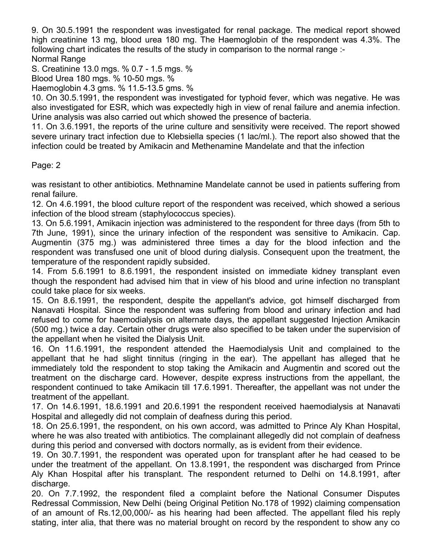9. On 30.5.1991 the respondent was investigated for renal package. The medical report showed high creatinine 13 mg, blood urea 180 mg. The Haemoglobin of the respondent was 4.3%. The following chart indicates the results of the study in comparison to the normal range :- Normal Range

S. Creatinine 13.0 mgs. % 0.7 - 1.5 mgs. %

Blood Urea 180 mgs. % 10-50 mgs. %

Haemoglobin 4.3 gms. % 11.5-13.5 gms. %

10. On 30.5.1991, the respondent was investigated for typhoid fever, which was negative. He was also investigated for ESR, which was expectedly high in view of renal failure and anemia infection. Urine analysis was also carried out which showed the presence of bacteria.

11. On 3.6.1991, the reports of the urine culture and sensitivity were received. The report showed severe urinary tract infection due to Klebsiella species (1 lac/ml.). The report also showed that the infection could be treated by Amikacin and Methenamine Mandelate and that the infection

Page: 2

was resistant to other antibiotics. Methnamine Mandelate cannot be used in patients suffering from renal failure.

12. On 4.6.1991, the blood culture report of the respondent was received, which showed a serious infection of the blood stream (staphylococcus species).

13. On 5.6.1991, Amikacin injection was administered to the respondent for three days (from 5th to 7th June, 1991), since the urinary infection of the respondent was sensitive to Amikacin. Cap. Augmentin (375 mg.) was administered three times a day for the blood infection and the respondent was transfused one unit of blood during dialysis. Consequent upon the treatment, the temperature of the respondent rapidly subsided.

14. From 5.6.1991 to 8.6.1991, the respondent insisted on immediate kidney transplant even though the respondent had advised him that in view of his blood and urine infection no transplant could take place for six weeks.

15. On 8.6.1991, the respondent, despite the appellant's advice, got himself discharged from Nanavati Hospital. Since the respondent was suffering from blood and urinary infection and had refused to come for haemodialysis on alternate days, the appellant suggested Injection Amikacin (500 mg.) twice a day. Certain other drugs were also specified to be taken under the supervision of the appellant when he visited the Dialysis Unit.

16. On 11.6.1991, the respondent attended the Haemodialysis Unit and complained to the appellant that he had slight tinnitus (ringing in the ear). The appellant has alleged that he immediately told the respondent to stop taking the Amikacin and Augmentin and scored out the treatment on the discharge card. However, despite express instructions from the appellant, the respondent continued to take Amikacin till 17.6.1991. Thereafter, the appellant was not under the treatment of the appellant.

17. On 14.6.1991, 18.6.1991 and 20.6.1991 the respondent received haemodialysis at Nanavati Hospital and allegedly did not complain of deafness during this period.

18. On 25.6.1991, the respondent, on his own accord, was admitted to Prince Aly Khan Hospital, where he was also treated with antibiotics. The complainant allegedly did not complain of deafness during this period and conversed with doctors normally, as is evident from their evidence.

19. On 30.7.1991, the respondent was operated upon for transplant after he had ceased to be under the treatment of the appellant. On 13.8.1991, the respondent was discharged from Prince Aly Khan Hospital after his transplant. The respondent returned to Delhi on 14.8.1991, after discharge.

20. On 7.7.1992, the respondent filed a complaint before the National Consumer Disputes Redressal Commission, New Delhi (being Original Petition No.178 of 1992) claiming compensation of an amount of Rs.12,00,000/- as his hearing had been affected. The appellant filed his reply stating, inter alia, that there was no material brought on record by the respondent to show any co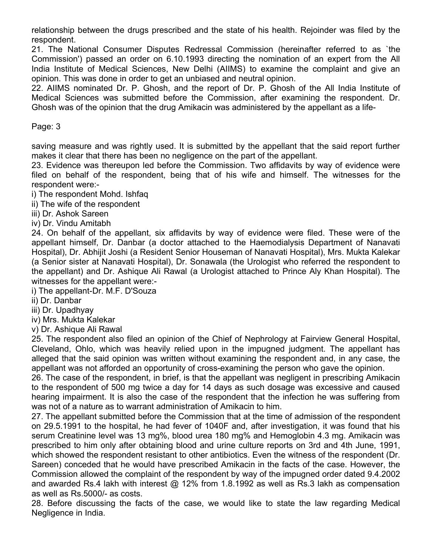relationship between the drugs prescribed and the state of his health. Rejoinder was filed by the respondent.

21. The National Consumer Disputes Redressal Commission (hereinafter referred to as `the Commission') passed an order on 6.10.1993 directing the nomination of an expert from the All India Institute of Medical Sciences, New Delhi (AIIMS) to examine the complaint and give an opinion. This was done in order to get an unbiased and neutral opinion.

22. AIIMS nominated Dr. P. Ghosh, and the report of Dr. P. Ghosh of the All India Institute of Medical Sciences was submitted before the Commission, after examining the respondent. Dr. Ghosh was of the opinion that the drug Amikacin was administered by the appellant as a life-

Page: 3

saving measure and was rightly used. It is submitted by the appellant that the said report further makes it clear that there has been no negligence on the part of the appellant.

23. Evidence was thereupon led before the Commission. Two affidavits by way of evidence were filed on behalf of the respondent, being that of his wife and himself. The witnesses for the respondent were:-

i) The respondent Mohd. Ishfaq

ii) The wife of the respondent

iii) Dr. Ashok Sareen

iv) Dr. Vindu Amitabh

24. On behalf of the appellant, six affidavits by way of evidence were filed. These were of the appellant himself, Dr. Danbar (a doctor attached to the Haemodialysis Department of Nanavati Hospital), Dr. Abhijit Joshi (a Resident Senior Houseman of Nanavati Hospital), Mrs. Mukta Kalekar (a Senior sister at Nanavati Hospital), Dr. Sonawala (the Urologist who referred the respondent to the appellant) and Dr. Ashique Ali Rawal (a Urologist attached to Prince Aly Khan Hospital). The witnesses for the appellant were:-

i) The appellant-Dr. M.F. D'Souza

ii) Dr. Danbar

iii) Dr. Upadhyay

iv) Mrs. Mukta Kalekar

v) Dr. Ashique Ali Rawal

25. The respondent also filed an opinion of the Chief of Nephrology at Fairview General Hospital, Cleveland, Ohlo, which was heavily relied upon in the impugned judgment. The appellant has alleged that the said opinion was written without examining the respondent and, in any case, the appellant was not afforded an opportunity of cross-examining the person who gave the opinion.

26. The case of the respondent, in brief, is that the appellant was negligent in prescribing Amikacin to the respondent of 500 mg twice a day for 14 days as such dosage was excessive and caused hearing impairment. It is also the case of the respondent that the infection he was suffering from was not of a nature as to warrant administration of Amikacin to him.

27. The appellant submitted before the Commission that at the time of admission of the respondent on 29.5.1991 to the hospital, he had fever of 1040F and, after investigation, it was found that his serum Creatinine level was 13 mg%, blood urea 180 mg% and Hemoglobin 4.3 mg. Amikacin was prescribed to him only after obtaining blood and urine culture reports on 3rd and 4th June, 1991, which showed the respondent resistant to other antibiotics. Even the witness of the respondent (Dr. Sareen) conceded that he would have prescribed Amikacin in the facts of the case. However, the Commission allowed the complaint of the respondent by way of the impugned order dated 9.4.2002 and awarded Rs.4 lakh with interest  $@$  12% from 1.8.1992 as well as Rs.3 lakh as compensation as well as Rs.5000/- as costs.

28. Before discussing the facts of the case, we would like to state the law regarding Medical Negligence in India.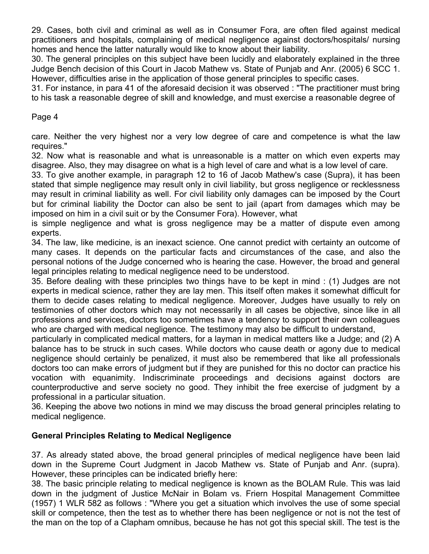29. Cases, both civil and criminal as well as in Consumer Fora, are often filed against medical practitioners and hospitals, complaining of medical negligence against doctors/hospitals/ nursing homes and hence the latter naturally would like to know about their liability.

30. The general principles on this subject have been lucidly and elaborately explained in the three Judge Bench decision of this Court in Jacob Mathew vs. State of Punjab and Anr. (2005) 6 SCC 1. However, difficulties arise in the application of those general principles to specific cases.

31. For instance, in para 41 of the aforesaid decision it was observed : "The practitioner must bring to his task a reasonable degree of skill and knowledge, and must exercise a reasonable degree of

Page 4

care. Neither the very highest nor a very low degree of care and competence is what the law requires."

32. Now what is reasonable and what is unreasonable is a matter on which even experts may disagree. Also, they may disagree on what is a high level of care and what is a low level of care.

33. To give another example, in paragraph 12 to 16 of Jacob Mathew's case (Supra), it has been stated that simple negligence may result only in civil liability, but gross negligence or recklessness may result in criminal liability as well. For civil liability only damages can be imposed by the Court but for criminal liability the Doctor can also be sent to jail (apart from damages which may be imposed on him in a civil suit or by the Consumer Fora). However, what

is simple negligence and what is gross negligence may be a matter of dispute even among experts.

34. The law, like medicine, is an inexact science. One cannot predict with certainty an outcome of many cases. It depends on the particular facts and circumstances of the case, and also the personal notions of the Judge concerned who is hearing the case. However, the broad and general legal principles relating to medical negligence need to be understood.

35. Before dealing with these principles two things have to be kept in mind : (1) Judges are not experts in medical science, rather they are lay men. This itself often makes it somewhat difficult for them to decide cases relating to medical negligence. Moreover, Judges have usually to rely on testimonies of other doctors which may not necessarily in all cases be objective, since like in all professions and services, doctors too sometimes have a tendency to support their own colleagues who are charged with medical negligence. The testimony may also be difficult to understand,

particularly in complicated medical matters, for a layman in medical matters like a Judge; and (2) A balance has to be struck in such cases. While doctors who cause death or agony due to medical negligence should certainly be penalized, it must also be remembered that like all professionals doctors too can make errors of judgment but if they are punished for this no doctor can practice his vocation with equanimity. Indiscriminate proceedings and decisions against doctors are counterproductive and serve society no good. They inhibit the free exercise of judgment by a professional in a particular situation.

36. Keeping the above two notions in mind we may discuss the broad general principles relating to medical negligence.

### **General Principles Relating to Medical Negligence**

37. As already stated above, the broad general principles of medical negligence have been laid down in the Supreme Court Judgment in Jacob Mathew vs. State of Punjab and Anr. (supra). However, these principles can be indicated briefly here:

38. The basic principle relating to medical negligence is known as the BOLAM Rule. This was laid down in the judgment of Justice McNair in Bolam vs. Friern Hospital Management Committee (1957) 1 WLR 582 as follows : "Where you get a situation which involves the use of some special skill or competence, then the test as to whether there has been negligence or not is not the test of the man on the top of a Clapham omnibus, because he has not got this special skill. The test is the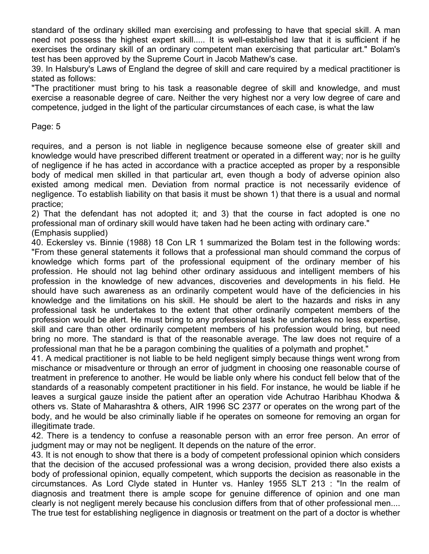standard of the ordinary skilled man exercising and professing to have that special skill. A man need not possess the highest expert skill..... It is well-established law that it is sufficient if he exercises the ordinary skill of an ordinary competent man exercising that particular art." Bolam's test has been approved by the Supreme Court in Jacob Mathew's case.

39. In Halsbury's Laws of England the degree of skill and care required by a medical practitioner is stated as follows:

"The practitioner must bring to his task a reasonable degree of skill and knowledge, and must exercise a reasonable degree of care. Neither the very highest nor a very low degree of care and competence, judged in the light of the particular circumstances of each case, is what the law

#### Page: 5

requires, and a person is not liable in negligence because someone else of greater skill and knowledge would have prescribed different treatment or operated in a different way; nor is he guilty of negligence if he has acted in accordance with a practice accepted as proper by a responsible body of medical men skilled in that particular art, even though a body of adverse opinion also existed among medical men. Deviation from normal practice is not necessarily evidence of negligence. To establish liability on that basis it must be shown 1) that there is a usual and normal practice;

2) That the defendant has not adopted it; and 3) that the course in fact adopted is one no professional man of ordinary skill would have taken had he been acting with ordinary care." (Emphasis supplied)

40. Eckersley vs. Binnie (1988) 18 Con LR 1 summarized the Bolam test in the following words: "From these general statements it follows that a professional man should command the corpus of knowledge which forms part of the professional equipment of the ordinary member of his profession. He should not lag behind other ordinary assiduous and intelligent members of his profession in the knowledge of new advances, discoveries and developments in his field. He should have such awareness as an ordinarily competent would have of the deficiencies in his knowledge and the limitations on his skill. He should be alert to the hazards and risks in any professional task he undertakes to the extent that other ordinarily competent members of the profession would be alert. He must bring to any professional task he undertakes no less expertise, skill and care than other ordinarily competent members of his profession would bring, but need bring no more. The standard is that of the reasonable average. The law does not require of a professional man that he be a paragon combining the qualities of a polymath and prophet."

41. A medical practitioner is not liable to be held negligent simply because things went wrong from mischance or misadventure or through an error of judgment in choosing one reasonable course of treatment in preference to another. He would be liable only where his conduct fell below that of the standards of a reasonably competent practitioner in his field. For instance, he would be liable if he leaves a surgical gauze inside the patient after an operation vide Achutrao Haribhau Khodwa & others vs. State of Maharashtra & others, AIR 1996 SC 2377 or operates on the wrong part of the body, and he would be also criminally liable if he operates on someone for removing an organ for illegitimate trade.

42. There is a tendency to confuse a reasonable person with an error free person. An error of judgment may or may not be negligent. It depends on the nature of the error.

43. It is not enough to show that there is a body of competent professional opinion which considers that the decision of the accused professional was a wrong decision, provided there also exists a body of professional opinion, equally competent, which supports the decision as reasonable in the circumstances. As Lord Clyde stated in Hunter vs. Hanley 1955 SLT 213 : "In the realm of diagnosis and treatment there is ample scope for genuine difference of opinion and one man clearly is not negligent merely because his conclusion differs from that of other professional men.... The true test for establishing negligence in diagnosis or treatment on the part of a doctor is whether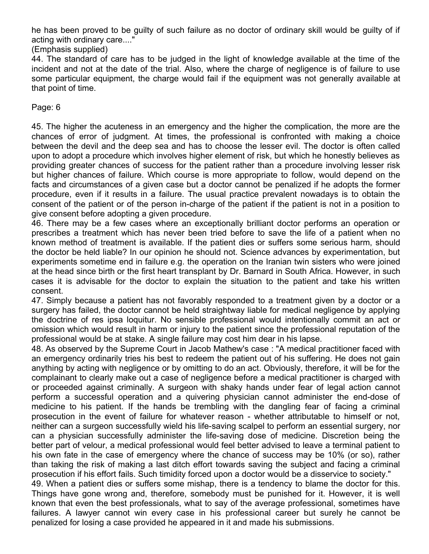he has been proved to be guilty of such failure as no doctor of ordinary skill would be guilty of if acting with ordinary care...."

(Emphasis supplied)

44. The standard of care has to be judged in the light of knowledge available at the time of the incident and not at the date of the trial. Also, where the charge of negligence is of failure to use some particular equipment, the charge would fail if the equipment was not generally available at that point of time.

Page: 6

45. The higher the acuteness in an emergency and the higher the complication, the more are the chances of error of judgment. At times, the professional is confronted with making a choice between the devil and the deep sea and has to choose the lesser evil. The doctor is often called upon to adopt a procedure which involves higher element of risk, but which he honestly believes as providing greater chances of success for the patient rather than a procedure involving lesser risk but higher chances of failure. Which course is more appropriate to follow, would depend on the facts and circumstances of a given case but a doctor cannot be penalized if he adopts the former procedure, even if it results in a failure. The usual practice prevalent nowadays is to obtain the consent of the patient or of the person in-charge of the patient if the patient is not in a position to give consent before adopting a given procedure.

46. There may be a few cases where an exceptionally brilliant doctor performs an operation or prescribes a treatment which has never been tried before to save the life of a patient when no known method of treatment is available. If the patient dies or suffers some serious harm, should the doctor be held liable? In our opinion he should not. Science advances by experimentation, but experiments sometime end in failure e.g. the operation on the Iranian twin sisters who were joined at the head since birth or the first heart transplant by Dr. Barnard in South Africa. However, in such cases it is advisable for the doctor to explain the situation to the patient and take his written consent.

47. Simply because a patient has not favorably responded to a treatment given by a doctor or a surgery has failed, the doctor cannot be held straightway liable for medical negligence by applying the doctrine of res ipsa loquitur. No sensible professional would intentionally commit an act or omission which would result in harm or injury to the patient since the professional reputation of the professional would be at stake. A single failure may cost him dear in his lapse.

48. As observed by the Supreme Court in Jacob Mathew's case : "A medical practitioner faced with an emergency ordinarily tries his best to redeem the patient out of his suffering. He does not gain anything by acting with negligence or by omitting to do an act. Obviously, therefore, it will be for the complainant to clearly make out a case of negligence before a medical practitioner is charged with or proceeded against criminally. A surgeon with shaky hands under fear of legal action cannot perform a successful operation and a quivering physician cannot administer the end-dose of medicine to his patient. If the hands be trembling with the dangling fear of facing a criminal prosecution in the event of failure for whatever reason - whether attributable to himself or not, neither can a surgeon successfully wield his life-saving scalpel to perform an essential surgery, nor can a physician successfully administer the life-saving dose of medicine. Discretion being the better part of velour, a medical professional would feel better advised to leave a terminal patient to his own fate in the case of emergency where the chance of success may be 10% (or so), rather than taking the risk of making a last ditch effort towards saving the subject and facing a criminal prosecution if his effort fails. Such timidity forced upon a doctor would be a disservice to society."

49. When a patient dies or suffers some mishap, there is a tendency to blame the doctor for this. Things have gone wrong and, therefore, somebody must be punished for it. However, it is well known that even the best professionals, what to say of the average professional, sometimes have failures. A lawyer cannot win every case in his professional career but surely he cannot be penalized for losing a case provided he appeared in it and made his submissions.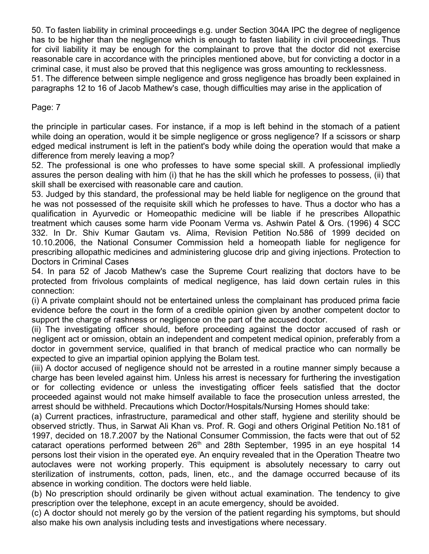50. To fasten liability in criminal proceedings e.g. under Section 304A IPC the degree of negligence has to be higher than the negligence which is enough to fasten liability in civil proceedings. Thus for civil liability it may be enough for the complainant to prove that the doctor did not exercise reasonable care in accordance with the principles mentioned above, but for convicting a doctor in a criminal case, it must also be proved that this negligence was gross amounting to recklessness. 51. The difference between simple negligence and gross negligence has broadly been explained in paragraphs 12 to 16 of Jacob Mathew's case, though difficulties may arise in the application of

Page: 7

the principle in particular cases. For instance, if a mop is left behind in the stomach of a patient while doing an operation, would it be simple negligence or gross negligence? If a scissors or sharp edged medical instrument is left in the patient's body while doing the operation would that make a difference from merely leaving a mop?

52. The professional is one who professes to have some special skill. A professional impliedly assures the person dealing with him (i) that he has the skill which he professes to possess, (ii) that skill shall be exercised with reasonable care and caution.

53. Judged by this standard, the professional may be held liable for negligence on the ground that he was not possessed of the requisite skill which he professes to have. Thus a doctor who has a qualification in Ayurvedic or Homeopathic medicine will be liable if he prescribes Allopathic treatment which causes some harm vide Poonam Verma vs. Ashwin Patel & Ors. (1996) 4 SCC 332. In Dr. Shiv Kumar Gautam vs. Alima, Revision Petition No.586 of 1999 decided on 10.10.2006, the National Consumer Commission held a homeopath liable for negligence for prescribing allopathic medicines and administering glucose drip and giving injections. Protection to Doctors in Criminal Cases

54. In para 52 of Jacob Mathew's case the Supreme Court realizing that doctors have to be protected from frivolous complaints of medical negligence, has laid down certain rules in this connection:

(i) A private complaint should not be entertained unless the complainant has produced prima facie evidence before the court in the form of a credible opinion given by another competent doctor to support the charge of rashness or negligence on the part of the accused doctor.

(ii) The investigating officer should, before proceeding against the doctor accused of rash or negligent act or omission, obtain an independent and competent medical opinion, preferably from a doctor in government service, qualified in that branch of medical practice who can normally be expected to give an impartial opinion applying the Bolam test.

(iii) A doctor accused of negligence should not be arrested in a routine manner simply because a charge has been leveled against him. Unless his arrest is necessary for furthering the investigation or for collecting evidence or unless the investigating officer feels satisfied that the doctor proceeded against would not make himself available to face the prosecution unless arrested, the arrest should be withheld. Precautions which Doctor/Hospitals/Nursing Homes should take:

(a) Current practices, infrastructure, paramedical and other staff, hygiene and sterility should be observed strictly. Thus, in Sarwat Ali Khan vs. Prof. R. Gogi and others Original Petition No.181 of 1997, decided on 18.7.2007 by the National Consumer Commission, the facts were that out of 52 cataract operations performed between  $26<sup>th</sup>$  and  $28th$  September, 1995 in an eye hospital 14 persons lost their vision in the operated eye. An enquiry revealed that in the Operation Theatre two autoclaves were not working properly. This equipment is absolutely necessary to carry out sterilization of instruments, cotton, pads, linen, etc., and the damage occurred because of its absence in working condition. The doctors were held liable.

(b) No prescription should ordinarily be given without actual examination. The tendency to give prescription over the telephone, except in an acute emergency, should be avoided.

(c) A doctor should not merely go by the version of the patient regarding his symptoms, but should also make his own analysis including tests and investigations where necessary.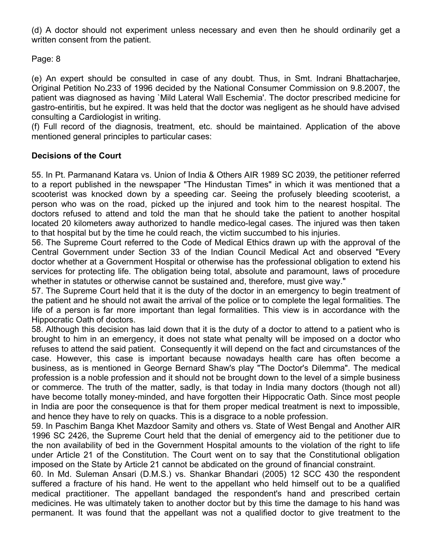(d) A doctor should not experiment unless necessary and even then he should ordinarily get a written consent from the patient.

Page: 8

(e) An expert should be consulted in case of any doubt. Thus, in Smt. Indrani Bhattacharjee, Original Petition No.233 of 1996 decided by the National Consumer Commission on 9.8.2007, the patient was diagnosed as having `Mild Lateral Wall Eschemia'. The doctor prescribed medicine for gastro-entiritis, but he expired. It was held that the doctor was negligent as he should have advised consulting a Cardiologist in writing.

(f) Full record of the diagnosis, treatment, etc. should be maintained. Application of the above mentioned general principles to particular cases:

#### **Decisions of the Court**

55. In Pt. Parmanand Katara vs. Union of India & Others AIR 1989 SC 2039, the petitioner referred to a report published in the newspaper "The Hindustan Times" in which it was mentioned that a scooterist was knocked down by a speeding car. Seeing the profusely bleeding scooterist, a person who was on the road, picked up the injured and took him to the nearest hospital. The doctors refused to attend and told the man that he should take the patient to another hospital located 20 kilometers away authorized to handle medico-legal cases. The injured was then taken to that hospital but by the time he could reach, the victim succumbed to his injuries.

56. The Supreme Court referred to the Code of Medical Ethics drawn up with the approval of the Central Government under Section 33 of the Indian Council Medical Act and observed "Every doctor whether at a Government Hospital or otherwise has the professional obligation to extend his services for protecting life. The obligation being total, absolute and paramount, laws of procedure whether in statutes or otherwise cannot be sustained and, therefore, must give way."

57. The Supreme Court held that it is the duty of the doctor in an emergency to begin treatment of the patient and he should not await the arrival of the police or to complete the legal formalities. The life of a person is far more important than legal formalities. This view is in accordance with the Hippocratic Oath of doctors.

58. Although this decision has laid down that it is the duty of a doctor to attend to a patient who is brought to him in an emergency, it does not state what penalty will be imposed on a doctor who refuses to attend the said patient. Consequently it will depend on the fact and circumstances of the case. However, this case is important because nowadays health care has often become a business, as is mentioned in George Bernard Shaw's play "The Doctor's Dilemma". The medical profession is a noble profession and it should not be brought down to the level of a simple business or commerce. The truth of the matter, sadly, is that today in India many doctors (though not all) have become totally money-minded, and have forgotten their Hippocratic Oath. Since most people in India are poor the consequence is that for them proper medical treatment is next to impossible, and hence they have to rely on quacks. This is a disgrace to a noble profession.

59. In Paschim Banga Khet Mazdoor Samity and others vs. State of West Bengal and Another AIR 1996 SC 2426, the Supreme Court held that the denial of emergency aid to the petitioner due to the non availability of bed in the Government Hospital amounts to the violation of the right to life under Article 21 of the Constitution. The Court went on to say that the Constitutional obligation imposed on the State by Article 21 cannot be abdicated on the ground of financial constraint.

60. In Md. Suleman Ansari (D.M.S.) vs. Shankar Bhandari (2005) 12 SCC 430 the respondent suffered a fracture of his hand. He went to the appellant who held himself out to be a qualified medical practitioner. The appellant bandaged the respondent's hand and prescribed certain medicines. He was ultimately taken to another doctor but by this time the damage to his hand was permanent. It was found that the appellant was not a qualified doctor to give treatment to the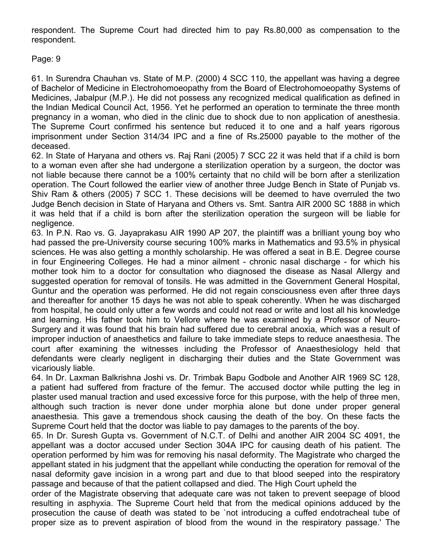respondent. The Supreme Court had directed him to pay Rs.80,000 as compensation to the respondent.

Page: 9

61. In Surendra Chauhan vs. State of M.P. (2000) 4 SCC 110, the appellant was having a degree of Bachelor of Medicine in Electrohomoeopathy from the Board of Electrohomoeopathy Systems of Medicines, Jabalpur (M.P.). He did not possess any recognized medical qualification as defined in the Indian Medical Council Act, 1956. Yet he performed an operation to terminate the three month pregnancy in a woman, who died in the clinic due to shock due to non application of anesthesia. The Supreme Court confirmed his sentence but reduced it to one and a half years rigorous imprisonment under Section 314/34 IPC and a fine of Rs.25000 payable to the mother of the deceased.

62. In State of Haryana and others vs. Raj Rani (2005) 7 SCC 22 it was held that if a child is born to a woman even after she had undergone a sterilization operation by a surgeon, the doctor was not liable because there cannot be a 100% certainty that no child will be born after a sterilization operation. The Court followed the earlier view of another three Judge Bench in State of Punjab vs. Shiv Ram & others (2005) 7 SCC 1. These decisions will be deemed to have overruled the two Judge Bench decision in State of Haryana and Others vs. Smt. Santra AIR 2000 SC 1888 in which it was held that if a child is born after the sterilization operation the surgeon will be liable for negligence.

63. In P.N. Rao vs. G. Jayaprakasu AIR 1990 AP 207, the plaintiff was a brilliant young boy who had passed the pre-University course securing 100% marks in Mathematics and 93.5% in physical sciences. He was also getting a monthly scholarship. He was offered a seat in B.E. Degree course in four Engineering Colleges. He had a minor ailment - chronic nasal discharge - for which his mother took him to a doctor for consultation who diagnosed the disease as Nasal Allergy and suggested operation for removal of tonsils. He was admitted in the Government General Hospital, Guntur and the operation was performed. He did not regain consciousness even after three days and thereafter for another 15 days he was not able to speak coherently. When he was discharged from hospital, he could only utter a few words and could not read or write and lost all his knowledge and learning. His father took him to Vellore where he was examined by a Professor of Neuro-Surgery and it was found that his brain had suffered due to cerebral anoxia, which was a result of improper induction of anaesthetics and failure to take immediate steps to reduce anaesthesia. The court after examining the witnesses including the Professor of Anaesthesiology held that defendants were clearly negligent in discharging their duties and the State Government was vicariously liable.

64. In Dr. Laxman Balkrishna Joshi vs. Dr. Trimbak Bapu Godbole and Another AIR 1969 SC 128, a patient had suffered from fracture of the femur. The accused doctor while putting the leg in plaster used manual traction and used excessive force for this purpose, with the help of three men, although such traction is never done under morphia alone but done under proper general anaesthesia. This gave a tremendous shock causing the death of the boy. On these facts the Supreme Court held that the doctor was liable to pay damages to the parents of the boy.

65. In Dr. Suresh Gupta vs. Government of N.C.T. of Delhi and another AIR 2004 SC 4091, the appellant was a doctor accused under Section 304A IPC for causing death of his patient. The operation performed by him was for removing his nasal deformity. The Magistrate who charged the appellant stated in his judgment that the appellant while conducting the operation for removal of the nasal deformity gave incision in a wrong part and due to that blood seeped into the respiratory passage and because of that the patient collapsed and died. The High Court upheld the

order of the Magistrate observing that adequate care was not taken to prevent seepage of blood resulting in asphyxia. The Supreme Court held that from the medical opinions adduced by the prosecution the cause of death was stated to be `not introducing a cuffed endotracheal tube of proper size as to prevent aspiration of blood from the wound in the respiratory passage.' The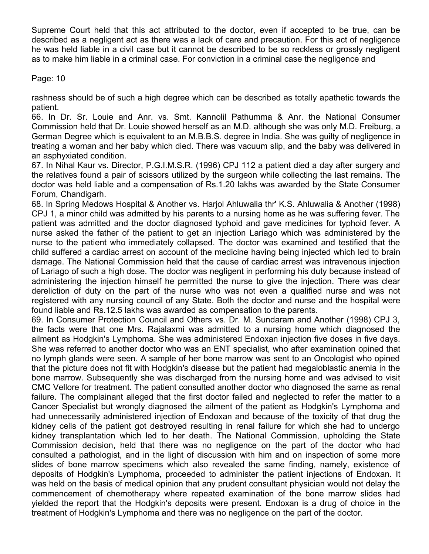Supreme Court held that this act attributed to the doctor, even if accepted to be true, can be described as a negligent act as there was a lack of care and precaution. For this act of negligence he was held liable in a civil case but it cannot be described to be so reckless or grossly negligent as to make him liable in a criminal case. For conviction in a criminal case the negligence and

Page: 10

rashness should be of such a high degree which can be described as totally apathetic towards the patient.

66. In Dr. Sr. Louie and Anr. vs. Smt. Kannolil Pathumma & Anr. the National Consumer Commission held that Dr. Louie showed herself as an M.D. although she was only M.D. Freiburg, a German Degree which is equivalent to an M.B.B.S. degree in India. She was guilty of negligence in treating a woman and her baby which died. There was vacuum slip, and the baby was delivered in an asphyxiated condition.

67. In Nihal Kaur vs. Director, P.G.I.M.S.R. (1996) CPJ 112 a patient died a day after surgery and the relatives found a pair of scissors utilized by the surgeon while collecting the last remains. The doctor was held liable and a compensation of Rs.1.20 lakhs was awarded by the State Consumer Forum, Chandigarh.

68. In Spring Medows Hospital & Another vs. Harjol Ahluwalia thr' K.S. Ahluwalia & Another (1998) CPJ 1, a minor child was admitted by his parents to a nursing home as he was suffering fever. The patient was admitted and the doctor diagnosed typhoid and gave medicines for typhoid fever. A nurse asked the father of the patient to get an injection Lariago which was administered by the nurse to the patient who immediately collapsed. The doctor was examined and testified that the child suffered a cardiac arrest on account of the medicine having being injected which led to brain damage. The National Commission held that the cause of cardiac arrest was intravenous injection of Lariago of such a high dose. The doctor was negligent in performing his duty because instead of administering the injection himself he permitted the nurse to give the injection. There was clear dereliction of duty on the part of the nurse who was not even a qualified nurse and was not registered with any nursing council of any State. Both the doctor and nurse and the hospital were found liable and Rs.12.5 lakhs was awarded as compensation to the parents.

69. In Consumer Protection Council and Others vs. Dr. M. Sundaram and Another (1998) CPJ 3, the facts were that one Mrs. Rajalaxmi was admitted to a nursing home which diagnosed the ailment as Hodgkin's Lymphoma. She was administered Endoxan injection five doses in five days. She was referred to another doctor who was an ENT specialist, who after examination opined that no lymph glands were seen. A sample of her bone marrow was sent to an Oncologist who opined that the picture does not fit with Hodgkin's disease but the patient had megaloblastic anemia in the bone marrow. Subsequently she was discharged from the nursing home and was advised to visit CMC Vellore for treatment. The patient consulted another doctor who diagnosed the same as renal failure. The complainant alleged that the first doctor failed and neglected to refer the matter to a Cancer Specialist but wrongly diagnosed the ailment of the patient as Hodgkin's Lymphoma and had unnecessarily administered injection of Endoxan and because of the toxicity of that drug the kidney cells of the patient got destroyed resulting in renal failure for which she had to undergo kidney transplantation which led to her death. The National Commission, upholding the State Commission decision, held that there was no negligence on the part of the doctor who had consulted a pathologist, and in the light of discussion with him and on inspection of some more slides of bone marrow specimens which also revealed the same finding, namely, existence of deposits of Hodgkin's Lymphoma, proceeded to administer the patient injections of Endoxan. It was held on the basis of medical opinion that any prudent consultant physician would not delay the commencement of chemotherapy where repeated examination of the bone marrow slides had yielded the report that the Hodgkin's deposits were present. Endoxan is a drug of choice in the treatment of Hodgkin's Lymphoma and there was no negligence on the part of the doctor.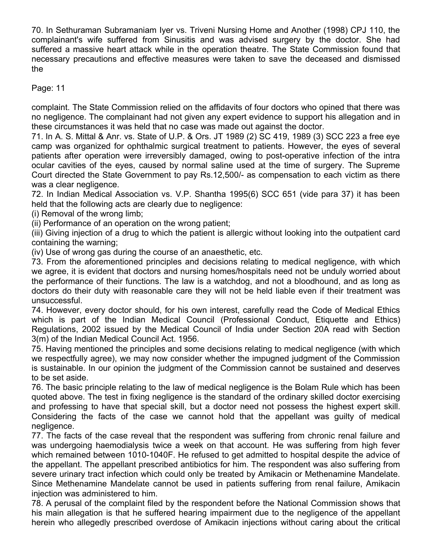70. In Sethuraman Subramaniam Iyer vs. Triveni Nursing Home and Another (1998) CPJ 110, the complainant's wife suffered from Sinusitis and was advised surgery by the doctor. She had suffered a massive heart attack while in the operation theatre. The State Commission found that necessary precautions and effective measures were taken to save the deceased and dismissed the

Page: 11

complaint. The State Commission relied on the affidavits of four doctors who opined that there was no negligence. The complainant had not given any expert evidence to support his allegation and in these circumstances it was held that no case was made out against the doctor.

71. In A. S. Mittal & Anr. vs. State of U.P. & Ors. JT 1989 (2) SC 419, 1989 (3) SCC 223 a free eye camp was organized for ophthalmic surgical treatment to patients. However, the eyes of several patients after operation were irreversibly damaged, owing to post-operative infection of the intra ocular cavities of the eyes, caused by normal saline used at the time of surgery. The Supreme Court directed the State Government to pay Rs.12,500/- as compensation to each victim as there was a clear negligence.

72. In Indian Medical Association vs. V.P. Shantha 1995(6) SCC 651 (vide para 37) it has been held that the following acts are clearly due to negligence:

(i) Removal of the wrong limb;

(ii) Performance of an operation on the wrong patient;

(iii) Giving injection of a drug to which the patient is allergic without looking into the outpatient card containing the warning;

(iv) Use of wrong gas during the course of an anaesthetic, etc.

73. From the aforementioned principles and decisions relating to medical negligence, with which we agree, it is evident that doctors and nursing homes/hospitals need not be unduly worried about the performance of their functions. The law is a watchdog, and not a bloodhound, and as long as doctors do their duty with reasonable care they will not be held liable even if their treatment was unsuccessful.

74. However, every doctor should, for his own interest, carefully read the Code of Medical Ethics which is part of the Indian Medical Council (Professional Conduct, Etiquette and Ethics) Regulations, 2002 issued by the Medical Council of India under Section 20A read with Section 3(m) of the Indian Medical Council Act. 1956.

75. Having mentioned the principles and some decisions relating to medical negligence (with which we respectfully agree), we may now consider whether the impugned judgment of the Commission is sustainable. In our opinion the judgment of the Commission cannot be sustained and deserves to be set aside.

76. The basic principle relating to the law of medical negligence is the Bolam Rule which has been quoted above. The test in fixing negligence is the standard of the ordinary skilled doctor exercising and professing to have that special skill, but a doctor need not possess the highest expert skill. Considering the facts of the case we cannot hold that the appellant was guilty of medical negligence.

77. The facts of the case reveal that the respondent was suffering from chronic renal failure and was undergoing haemodialysis twice a week on that account. He was suffering from high fever which remained between 1010-1040F. He refused to get admitted to hospital despite the advice of the appellant. The appellant prescribed antibiotics for him. The respondent was also suffering from severe urinary tract infection which could only be treated by Amikacin or Methenamine Mandelate. Since Methenamine Mandelate cannot be used in patients suffering from renal failure, Amikacin injection was administered to him.

78. A perusal of the complaint filed by the respondent before the National Commission shows that his main allegation is that he suffered hearing impairment due to the negligence of the appellant herein who allegedly prescribed overdose of Amikacin injections without caring about the critical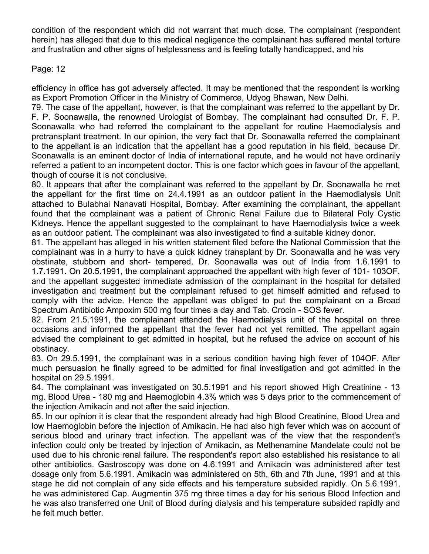condition of the respondent which did not warrant that much dose. The complainant (respondent herein) has alleged that due to this medical negligence the complainant has suffered mental torture and frustration and other signs of helplessness and is feeling totally handicapped, and his

#### Page: 12

efficiency in office has got adversely affected. It may be mentioned that the respondent is working as Export Promotion Officer in the Ministry of Commerce, Udyog Bhawan, New Delhi.

79. The case of the appellant, however, is that the complainant was referred to the appellant by Dr. F. P. Soonawalla, the renowned Urologist of Bombay. The complainant had consulted Dr. F. P. Soonawalla who had referred the complainant to the appellant for routine Haemodialysis and pretransplant treatment. In our opinion, the very fact that Dr. Soonawalla referred the complainant to the appellant is an indication that the appellant has a good reputation in his field, because Dr. Soonawalla is an eminent doctor of India of international repute, and he would not have ordinarily referred a patient to an incompetent doctor. This is one factor which goes in favour of the appellant, though of course it is not conclusive.

80. It appears that after the complainant was referred to the appellant by Dr. Soonawalla he met the appellant for the first time on 24.4.1991 as an outdoor patient in the Haemodialysis Unit attached to Bulabhai Nanavati Hospital, Bombay. After examining the complainant, the appellant found that the complainant was a patient of Chronic Renal Failure due to Bilateral Poly Cystic Kidneys. Hence the appellant suggested to the complainant to have Haemodialysis twice a week as an outdoor patient. The complainant was also investigated to find a suitable kidney donor.

81. The appellant has alleged in his written statement filed before the National Commission that the complainant was in a hurry to have a quick kidney transplant by Dr. Soonawalla and he was very obstinate, stubborn and short- tempered. Dr. Soonawalla was out of India from 1.6.1991 to 1.7.1991. On 20.5.1991, the complainant approached the appellant with high fever of 101- 103OF, and the appellant suggested immediate admission of the complainant in the hospital for detailed investigation and treatment but the complainant refused to get himself admitted and refused to comply with the advice. Hence the appellant was obliged to put the complainant on a Broad Spectrum Antibiotic Ampoxim 500 mg four times a day and Tab. Crocin - SOS fever.

82. From 21.5.1991, the complainant attended the Haemodialysis unit of the hospital on three occasions and informed the appellant that the fever had not yet remitted. The appellant again advised the complainant to get admitted in hospital, but he refused the advice on account of his obstinacy.

83. On 29.5.1991, the complainant was in a serious condition having high fever of 104OF. After much persuasion he finally agreed to be admitted for final investigation and got admitted in the hospital on 29.5.1991.

84. The complainant was investigated on 30.5.1991 and his report showed High Creatinine - 13 mg. Blood Urea - 180 mg and Haemoglobin 4.3% which was 5 days prior to the commencement of the injection Amikacin and not after the said injection.

85. In our opinion it is clear that the respondent already had high Blood Creatinine, Blood Urea and low Haemoglobin before the injection of Amikacin. He had also high fever which was on account of serious blood and urinary tract infection. The appellant was of the view that the respondent's infection could only be treated by injection of Amikacin, as Methenamine Mandelate could not be used due to his chronic renal failure. The respondent's report also established his resistance to all other antibiotics. Gastroscopy was done on 4.6.1991 and Amikacin was administered after test dosage only from 5.6.1991. Amikacin was administered on 5th, 6th and 7th June, 1991 and at this stage he did not complain of any side effects and his temperature subsided rapidly. On 5.6.1991, he was administered Cap. Augmentin 375 mg three times a day for his serious Blood Infection and he was also transferred one Unit of Blood during dialysis and his temperature subsided rapidly and he felt much better.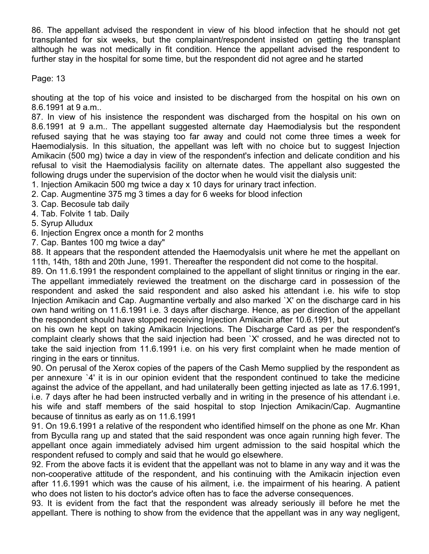86. The appellant advised the respondent in view of his blood infection that he should not get transplanted for six weeks, but the complainant/respondent insisted on getting the transplant although he was not medically in fit condition. Hence the appellant advised the respondent to further stay in the hospital for some time, but the respondent did not agree and he started

Page: 13

shouting at the top of his voice and insisted to be discharged from the hospital on his own on 8.6.1991 at 9 a.m..

87. In view of his insistence the respondent was discharged from the hospital on his own on 8.6.1991 at 9 a.m.. The appellant suggested alternate day Haemodialysis but the respondent refused saying that he was staying too far away and could not come three times a week for Haemodialysis. In this situation, the appellant was left with no choice but to suggest Injection Amikacin (500 mg) twice a day in view of the respondent's infection and delicate condition and his refusal to visit the Haemodialysis facility on alternate dates. The appellant also suggested the following drugs under the supervision of the doctor when he would visit the dialysis unit:

- 1. Injection Amikacin 500 mg twice a day x 10 days for urinary tract infection.
- 2. Cap. Augmentine 375 mg 3 times a day for 6 weeks for blood infection
- 3. Cap. Becosule tab daily
- 4. Tab. Folvite 1 tab. Daily

5. Syrup Alludux

6. Injection Engrex once a month for 2 months

7. Cap. Bantes 100 mg twice a day"

88. It appears that the respondent attended the Haemodyalsis unit where he met the appellant on 11th, 14th, 18th and 20th June, 1991. Thereafter the respondent did not come to the hospital.

89. On 11.6.1991 the respondent complained to the appellant of slight tinnitus or ringing in the ear. The appellant immediately reviewed the treatment on the discharge card in possession of the respondent and asked the said respondent and also asked his attendant i.e. his wife to stop Injection Amikacin and Cap. Augmantine verbally and also marked `X' on the discharge card in his own hand writing on 11.6.1991 i.e. 3 days after discharge. Hence, as per direction of the appellant the respondent should have stopped receiving Injection Amikacin after 10.6.1991, but

on his own he kept on taking Amikacin Injections. The Discharge Card as per the respondent's complaint clearly shows that the said injection had been `X' crossed, and he was directed not to take the said injection from 11.6.1991 i.e. on his very first complaint when he made mention of ringing in the ears or tinnitus.

90. On perusal of the Xerox copies of the papers of the Cash Memo supplied by the respondent as per annexure `4' it is in our opinion evident that the respondent continued to take the medicine against the advice of the appellant, and had unilaterally been getting injected as late as 17.6.1991, i.e. 7 days after he had been instructed verbally and in writing in the presence of his attendant i.e. his wife and staff members of the said hospital to stop Injection Amikacin/Cap. Augmantine because of tinnitus as early as on 11.6.1991

91. On 19.6.1991 a relative of the respondent who identified himself on the phone as one Mr. Khan from Byculla rang up and stated that the said respondent was once again running high fever. The appellant once again immediately advised him urgent admission to the said hospital which the respondent refused to comply and said that he would go elsewhere.

92. From the above facts it is evident that the appellant was not to blame in any way and it was the non-cooperative attitude of the respondent, and his continuing with the Amikacin injection even after 11.6.1991 which was the cause of his ailment, i.e. the impairment of his hearing. A patient who does not listen to his doctor's advice often has to face the adverse consequences.

93. It is evident from the fact that the respondent was already seriously ill before he met the appellant. There is nothing to show from the evidence that the appellant was in any way negligent,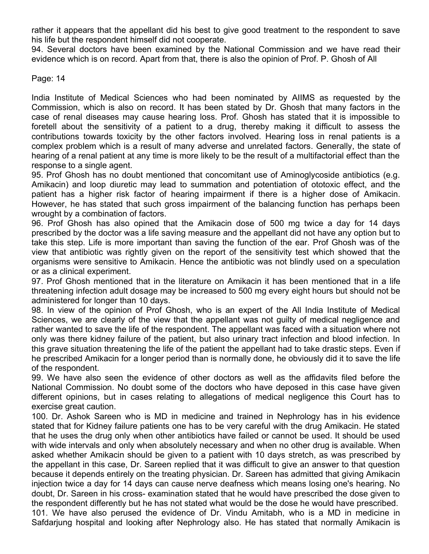rather it appears that the appellant did his best to give good treatment to the respondent to save his life but the respondent himself did not cooperate.

94. Several doctors have been examined by the National Commission and we have read their evidence which is on record. Apart from that, there is also the opinion of Prof. P. Ghosh of All

Page: 14

India Institute of Medical Sciences who had been nominated by AIIMS as requested by the Commission, which is also on record. It has been stated by Dr. Ghosh that many factors in the case of renal diseases may cause hearing loss. Prof. Ghosh has stated that it is impossible to foretell about the sensitivity of a patient to a drug, thereby making it difficult to assess the contributions towards toxicity by the other factors involved. Hearing loss in renal patients is a complex problem which is a result of many adverse and unrelated factors. Generally, the state of hearing of a renal patient at any time is more likely to be the result of a multifactorial effect than the response to a single agent.

95. Prof Ghosh has no doubt mentioned that concomitant use of Aminoglycoside antibiotics (e.g. Amikacin) and loop diuretic may lead to summation and potentiation of ototoxic effect, and the patient has a higher risk factor of hearing impairment if there is a higher dose of Amikacin. However, he has stated that such gross impairment of the balancing function has perhaps been wrought by a combination of factors.

96. Prof Ghosh has also opined that the Amikacin dose of 500 mg twice a day for 14 days prescribed by the doctor was a life saving measure and the appellant did not have any option but to take this step. Life is more important than saving the function of the ear. Prof Ghosh was of the view that antibiotic was rightly given on the report of the sensitivity test which showed that the organisms were sensitive to Amikacin. Hence the antibiotic was not blindly used on a speculation or as a clinical experiment.

97. Prof Ghosh mentioned that in the literature on Amikacin it has been mentioned that in a life threatening infection adult dosage may be increased to 500 mg every eight hours but should not be administered for longer than 10 days.

98. In view of the opinion of Prof Ghosh, who is an expert of the All India Institute of Medical Sciences, we are clearly of the view that the appellant was not guilty of medical negligence and rather wanted to save the life of the respondent. The appellant was faced with a situation where not only was there kidney failure of the patient, but also urinary tract infection and blood infection. In this grave situation threatening the life of the patient the appellant had to take drastic steps. Even if he prescribed Amikacin for a longer period than is normally done, he obviously did it to save the life of the respondent.

99. We have also seen the evidence of other doctors as well as the affidavits filed before the National Commission. No doubt some of the doctors who have deposed in this case have given different opinions, but in cases relating to allegations of medical negligence this Court has to exercise great caution.

100. Dr. Ashok Sareen who is MD in medicine and trained in Nephrology has in his evidence stated that for Kidney failure patients one has to be very careful with the drug Amikacin. He stated that he uses the drug only when other antibiotics have failed or cannot be used. It should be used with wide intervals and only when absolutely necessary and when no other drug is available. When asked whether Amikacin should be given to a patient with 10 days stretch, as was prescribed by the appellant in this case, Dr. Sareen replied that it was difficult to give an answer to that question because it depends entirely on the treating physician. Dr. Sareen has admitted that giving Amikacin injection twice a day for 14 days can cause nerve deafness which means losing one's hearing. No doubt, Dr. Sareen in his cross- examination stated that he would have prescribed the dose given to the respondent differently but he has not stated what would be the dose he would have prescribed. 101. We have also perused the evidence of Dr. Vindu Amitabh, who is a MD in medicine in Safdarjung hospital and looking after Nephrology also. He has stated that normally Amikacin is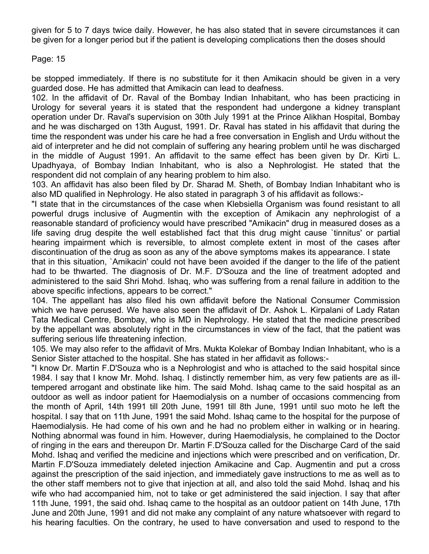given for 5 to 7 days twice daily. However, he has also stated that in severe circumstances it can be given for a longer period but if the patient is developing complications then the doses should

Page: 15

be stopped immediately. If there is no substitute for it then Amikacin should be given in a very guarded dose. He has admitted that Amikacin can lead to deafness.

102. In the affidavit of Dr. Raval of the Bombay Indian Inhabitant, who has been practicing in Urology for several years it is stated that the respondent had undergone a kidney transplant operation under Dr. Raval's supervision on 30th July 1991 at the Prince Alikhan Hospital, Bombay and he was discharged on 13th August, 1991. Dr. Raval has stated in his affidavit that during the time the respondent was under his care he had a free conversation in English and Urdu without the aid of interpreter and he did not complain of suffering any hearing problem until he was discharged in the middle of August 1991. An affidavit to the same effect has been given by Dr. Kirti L. Upadhyaya, of Bombay Indian Inhabitant, who is also a Nephrologist. He stated that the respondent did not complain of any hearing problem to him also.

103. An affidavit has also been filed by Dr. Sharad M. Sheth, of Bombay Indian Inhabitant who is also MD qualified in Nephrology. He also stated in paragraph 3 of his affidavit as follows:-

"I state that in the circumstances of the case when Klebsiella Organism was found resistant to all powerful drugs inclusive of Augmentin with the exception of Amikacin any nephrologist of a reasonable standard of proficiency would have prescribed "Amikacin" drug in measured doses as a life saving drug despite the well established fact that this drug might cause `tinnitus' or partial hearing impairment which is reversible, to almost complete extent in most of the cases after discontinuation of the drug as soon as any of the above symptoms makes its appearance. I state

that in this situation, `Amikacin' could not have been avoided if the danger to the life of the patient had to be thwarted. The diagnosis of Dr. M.F. D'Souza and the line of treatment adopted and administered to the said Shri Mohd. Ishaq, who was suffering from a renal failure in addition to the above specific infections, appears to be correct."

104. The appellant has also filed his own affidavit before the National Consumer Commission which we have perused. We have also seen the affidavit of Dr. Ashok L. Kirpalani of Lady Ratan Tata Medical Centre, Bombay, who is MD in Nephrology. He stated that the medicine prescribed by the appellant was absolutely right in the circumstances in view of the fact, that the patient was suffering serious life threatening infection.

105. We may also refer to the affidavit of Mrs. Mukta Kolekar of Bombay Indian Inhabitant, who is a Senior Sister attached to the hospital. She has stated in her affidavit as follows:-

"I know Dr. Martin F.D'Souza who is a Nephrologist and who is attached to the said hospital since 1984. I say that I know Mr. Mohd. Ishaq. I distinctly remember him, as very few patients are as illtempered arrogant and obstinate like him. The said Mohd. Ishaq came to the said hospital as an outdoor as well as indoor patient for Haemodialysis on a number of occasions commencing from the month of April, 14th 1991 till 20th June, 1991 till 8th June, 1991 until suo moto he left the hospital. I say that on 11th June, 1991 the said Mohd. Ishaq came to the hospital for the purpose of Haemodialysis. He had come of his own and he had no problem either in walking or in hearing. Nothing abnormal was found in him. However, during Haemodialysis, he complained to the Doctor of ringing in the ears and thereupon Dr. Martin F.D'Souza called for the Discharge Card of the said Mohd. Ishaq and verified the medicine and injections which were prescribed and on verification, Dr. Martin F.D'Souza immediately deleted injection Amikacine and Cap. Augmentin and put a cross against the prescription of the said injection, and immediately gave instructions to me as well as to the other staff members not to give that injection at all, and also told the said Mohd. Ishaq and his wife who had accompanied him, not to take or get administered the said injection. I say that after 11th June, 1991, the said ohd. Ishaq came to the hospital as an outdoor patient on 14th June, 17th June and 20th June, 1991 and did not make any complaint of any nature whatsoever with regard to his hearing faculties. On the contrary, he used to have conversation and used to respond to the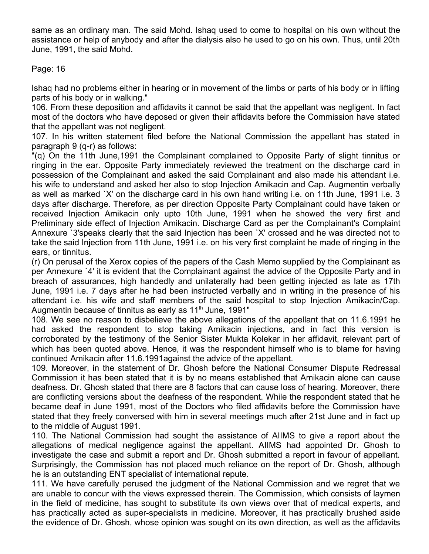same as an ordinary man. The said Mohd. Ishaq used to come to hospital on his own without the assistance or help of anybody and after the dialysis also he used to go on his own. Thus, until 20th June, 1991, the said Mohd.

Page: 16

Ishaq had no problems either in hearing or in movement of the limbs or parts of his body or in lifting parts of his body or in walking."

106. From these deposition and affidavits it cannot be said that the appellant was negligent. In fact most of the doctors who have deposed or given their affidavits before the Commission have stated that the appellant was not negligent.

107. In his written statement filed before the National Commission the appellant has stated in paragraph 9 (q-r) as follows:

"(q) On the 11th June,1991 the Complainant complained to Opposite Party of slight tinnitus or ringing in the ear. Opposite Party immediately reviewed the treatment on the discharge card in possession of the Complainant and asked the said Complainant and also made his attendant i.e. his wife to understand and asked her also to stop Injection Amikacin and Cap. Augmentin verbally as well as marked `X' on the discharge card in his own hand writing i.e. on 11th June, 1991 i.e. 3 days after discharge. Therefore, as per direction Opposite Party Complainant could have taken or received Injection Amikacin only upto 10th June, 1991 when he showed the very first and Preliminary side effect of Injection Amikacin. Discharge Card as per the Complainant's Complaint Annexure `3'speaks clearly that the said Injection has been `X' crossed and he was directed not to take the said Injection from 11th June, 1991 i.e. on his very first complaint he made of ringing in the ears, or tinnitus.

(r) On perusal of the Xerox copies of the papers of the Cash Memo supplied by the Complainant as per Annexure `4' it is evident that the Complainant against the advice of the Opposite Party and in breach of assurances, high handedly and unilaterally had been getting injected as late as 17th June, 1991 i.e. 7 days after he had been instructed verbally and in writing in the presence of his attendant i.e. his wife and staff members of the said hospital to stop Injection Amikacin/Cap. Augmentin because of tinnitus as early as  $11<sup>th</sup>$  June, 1991"

108. We see no reason to disbelieve the above allegations of the appellant that on 11.6.1991 he had asked the respondent to stop taking Amikacin injections, and in fact this version is corroborated by the testimony of the Senior Sister Mukta Kolekar in her affidavit, relevant part of which has been quoted above. Hence, it was the respondent himself who is to blame for having continued Amikacin after 11.6.1991against the advice of the appellant.

109. Moreover, in the statement of Dr. Ghosh before the National Consumer Dispute Redressal Commission it has been stated that it is by no means established that Amikacin alone can cause deafness. Dr. Ghosh stated that there are 8 factors that can cause loss of hearing. Moreover, there are conflicting versions about the deafness of the respondent. While the respondent stated that he became deaf in June 1991, most of the Doctors who filed affidavits before the Commission have stated that they freely conversed with him in several meetings much after 21st June and in fact up to the middle of August 1991.

110. The National Commission had sought the assistance of AIIMS to give a report about the allegations of medical negligence against the appellant. AIIMS had appointed Dr. Ghosh to investigate the case and submit a report and Dr. Ghosh submitted a report in favour of appellant. Surprisingly, the Commission has not placed much reliance on the report of Dr. Ghosh, although he is an outstanding ENT specialist of international repute.

111. We have carefully perused the judgment of the National Commission and we regret that we are unable to concur with the views expressed therein. The Commission, which consists of laymen in the field of medicine, has sought to substitute its own views over that of medical experts, and has practically acted as super-specialists in medicine. Moreover, it has practically brushed aside the evidence of Dr. Ghosh, whose opinion was sought on its own direction, as well as the affidavits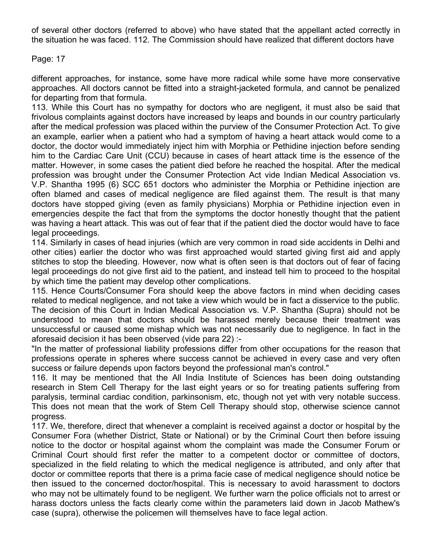of several other doctors (referred to above) who have stated that the appellant acted correctly in the situation he was faced. 112. The Commission should have realized that different doctors have

#### Page: 17

different approaches, for instance, some have more radical while some have more conservative approaches. All doctors cannot be fitted into a straight-jacketed formula, and cannot be penalized for departing from that formula.

113. While this Court has no sympathy for doctors who are negligent, it must also be said that frivolous complaints against doctors have increased by leaps and bounds in our country particularly after the medical profession was placed within the purview of the Consumer Protection Act. To give an example, earlier when a patient who had a symptom of having a heart attack would come to a doctor, the doctor would immediately inject him with Morphia or Pethidine injection before sending him to the Cardiac Care Unit (CCU) because in cases of heart attack time is the essence of the matter. However, in some cases the patient died before he reached the hospital. After the medical profession was brought under the Consumer Protection Act vide Indian Medical Association vs. V.P. Shantha 1995 (6) SCC 651 doctors who administer the Morphia or Pethidine injection are often blamed and cases of medical negligence are filed against them. The result is that many doctors have stopped giving (even as family physicians) Morphia or Pethidine injection even in emergencies despite the fact that from the symptoms the doctor honestly thought that the patient was having a heart attack. This was out of fear that if the patient died the doctor would have to face legal proceedings.

114. Similarly in cases of head injuries (which are very common in road side accidents in Delhi and other cities) earlier the doctor who was first approached would started giving first aid and apply stitches to stop the bleeding. However, now what is often seen is that doctors out of fear of facing legal proceedings do not give first aid to the patient, and instead tell him to proceed to the hospital by which time the patient may develop other complications.

115. Hence Courts/Consumer Fora should keep the above factors in mind when deciding cases related to medical negligence, and not take a view which would be in fact a disservice to the public. The decision of this Court in Indian Medical Association vs. V.P. Shantha (Supra) should not be understood to mean that doctors should be harassed merely because their treatment was unsuccessful or caused some mishap which was not necessarily due to negligence. In fact in the aforesaid decision it has been observed (vide para 22) :-

"In the matter of professional liability professions differ from other occupations for the reason that professions operate in spheres where success cannot be achieved in every case and very often success or failure depends upon factors beyond the professional man's control."

116. It may be mentioned that the All India Institute of Sciences has been doing outstanding research in Stem Cell Therapy for the last eight years or so for treating patients suffering from paralysis, terminal cardiac condition, parkinsonism, etc, though not yet with very notable success. This does not mean that the work of Stem Cell Therapy should stop, otherwise science cannot progress.

117. We, therefore, direct that whenever a complaint is received against a doctor or hospital by the Consumer Fora (whether District, State or National) or by the Criminal Court then before issuing notice to the doctor or hospital against whom the complaint was made the Consumer Forum or Criminal Court should first refer the matter to a competent doctor or committee of doctors, specialized in the field relating to which the medical negligence is attributed, and only after that doctor or committee reports that there is a prima facie case of medical negligence should notice be then issued to the concerned doctor/hospital. This is necessary to avoid harassment to doctors who may not be ultimately found to be negligent. We further warn the police officials not to arrest or harass doctors unless the facts clearly come within the parameters laid down in Jacob Mathew's case (supra), otherwise the policemen will themselves have to face legal action.